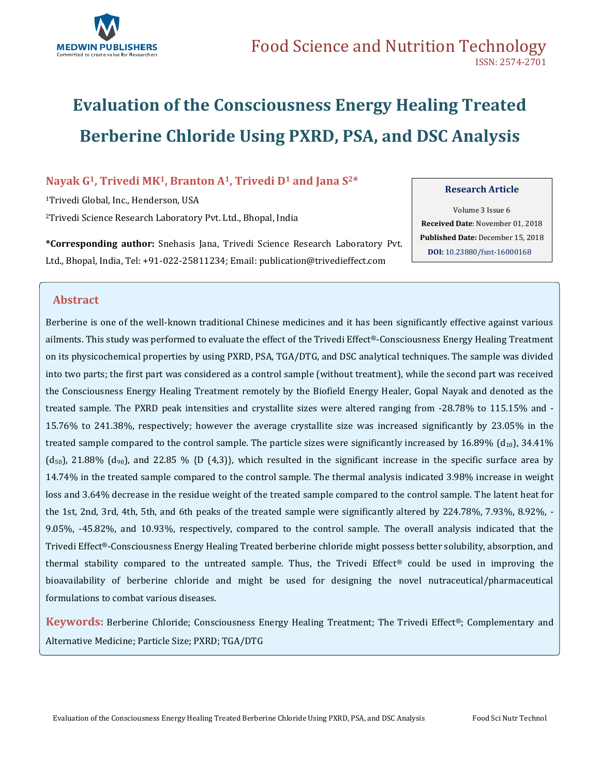

# **Evaluation of the Consciousness Energy Healing Treated Berberine Chloride Using PXRD, PSA, and DSC Analysis**

### **Nayak G1, Trivedi MK1, Branton A1, Trivedi D<sup>1</sup> and Jana S2\***

<sup>1</sup>Trivedi Global, Inc., Henderson, USA <sup>2</sup>Trivedi Science Research Laboratory Pvt. Ltd., Bhopal, India

**\*Corresponding author:** Snehasis Jana, Trivedi Science Research Laboratory Pvt. Ltd., Bhopal, India, Tel: +91-022-25811234; Email[: publication@trivedieffect.com](mailto:publication@trivedieffect.com)

#### **Research Article**

Volume 3 Issue 6 **Received Date**: November 01, 2018 **Published Date:** December 15, 2018 **DOI:** [10.23880/fsnt-16000168](https://doi.org/10.23880/fsnt-16000168)

### **Abstract**

Berberine is one of the well-known traditional Chinese medicines and it has been significantly effective against various ailments. This study was performed to evaluate the effect of the Trivedi Effect®-Consciousness Energy Healing Treatment on its physicochemical properties by using PXRD, PSA, TGA/DTG, and DSC analytical techniques. The sample was divided into two parts; the first part was considered as a control sample (without treatment), while the second part was received the Consciousness Energy Healing Treatment remotely by the Biofield Energy Healer, Gopal Nayak and denoted as the treated sample. The PXRD peak intensities and crystallite sizes were altered ranging from -28.78% to 115.15% and - 15.76% to 241.38%, respectively; however the average crystallite size was increased significantly by 23.05% in the treated sample compared to the control sample. The particle sizes were significantly increased by 16.89%  $(d_{10})$ , 34.41% (d<sub>50</sub>), 21.88% (d<sub>90</sub>), and 22.85 % {D (4,3)}, which resulted in the significant increase in the specific surface area by 14.74% in the treated sample compared to the control sample. The thermal analysis indicated 3.98% increase in weight loss and 3.64% decrease in the residue weight of the treated sample compared to the control sample. The latent heat for the 1st, 2nd, 3rd, 4th, 5th, and 6th peaks of the treated sample were significantly altered by 224.78%, 7.93%, 8.92%, -9.05%, -45.82%, and 10.93%, respectively, compared to the control sample. The overall analysis indicated that the Trivedi Effect®-Consciousness Energy Healing Treated berberine chloride might possess better solubility, absorption, and thermal stability compared to the untreated sample. Thus, the Trivedi Effect® could be used in improving the bioavailability of berberine chloride and might be used for designing the novel nutraceutical/pharmaceutical formulations to combat various diseases.

**Keywords:** Berberine Chloride; Consciousness Energy Healing Treatment; The Trivedi Effect®; Complementary and Alternative Medicine; Particle Size; PXRD; TGA/DTG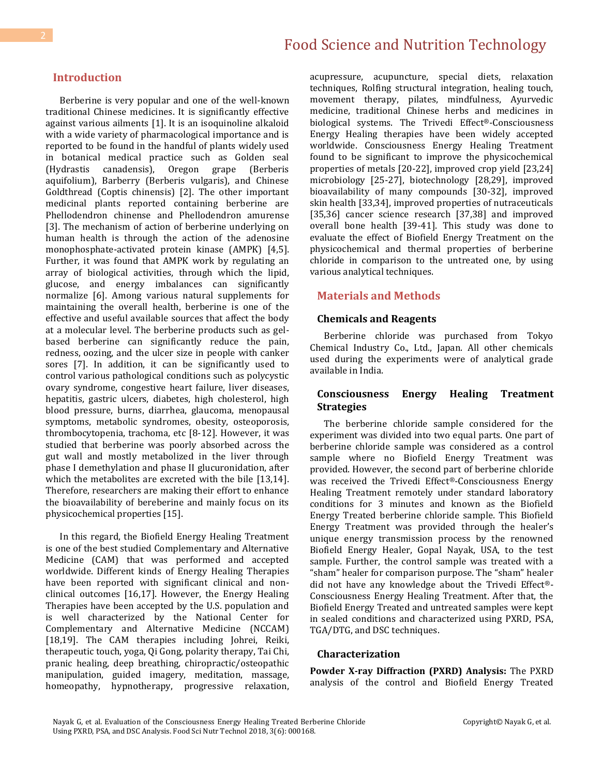### **Introduction**

Berberine is very popular and one of the well-known traditional Chinese medicines. It is significantly effective against various ailments [1]. It is an isoquinoline alkaloid with a wide variety of pharmacological importance and is reported to be found in the handful of plants widely used in botanical medical practice such as Golden seal (Hydrastis canadensis), Oregon grape (Berberis aquifolium), Barberry (Berberis vulgaris), and Chinese Goldthread (Coptis chinensis) [2]. The other important medicinal plants reported containing berberine are Phellodendron chinense and Phellodendron amurense [3]. The mechanism of action of berberine underlying on human health is through the action of the adenosine monophosphate-activated protein kinase (AMPK) [4,5]. Further, it was found that AMPK work by regulating an array of biological activities, through which the lipid, glucose, and energy imbalances can significantly normalize [6]. Among various natural supplements for maintaining the overall health, berberine is one of the effective and useful available sources that affect the body at a molecular level. The berberine products such as gelbased berberine can significantly reduce the pain, redness, oozing, and the ulcer size in people with canker sores [7]. In addition, it can be significantly used to control various pathological conditions such as polycystic ovary syndrome, congestive heart failure, liver diseases, hepatitis, gastric ulcers, diabetes, high cholesterol, high blood pressure, burns, diarrhea, glaucoma, menopausal symptoms, metabolic syndromes, obesity, osteoporosis, thrombocytopenia, trachoma, etc [8-12]. However, it was studied that berberine was poorly absorbed across the gut wall and mostly metabolized in the liver through phase I demethylation and phase II glucuronidation, after which the metabolites are excreted with the bile [13,14]. Therefore, researchers are making their effort to enhance the bioavailability of bereberine and mainly focus on its physicochemical properties [15].

In this regard, the Biofield Energy Healing Treatment is one of the best studied Complementary and Alternative Medicine (CAM) that was performed and accepted worldwide. Different kinds of Energy Healing Therapies have been reported with significant clinical and nonclinical outcomes [16,17]. However, the Energy Healing Therapies have been accepted by the U.S. population and is well characterized by the National Center for Complementary and Alternative Medicine (NCCAM) [18,19]. The CAM therapies including Johrei, Reiki, therapeutic touch, yoga, Qi Gong, polarity therapy, Tai Chi, pranic healing, deep breathing, chiropractic/osteopathic manipulation, guided imagery, meditation, massage, homeopathy, hypnotherapy, progressive relaxation,

acupressure, acupuncture, special diets, relaxation techniques, Rolfing structural integration, healing touch, movement therapy, pilates, mindfulness, Ayurvedic medicine, traditional Chinese herbs and medicines in biological systems. The Trivedi Effect®-Consciousness Energy Healing therapies have been widely accepted worldwide. Consciousness Energy Healing Treatment found to be significant to improve the physicochemical properties of metals [20-22], improved crop yield [23,24] microbiology [25-27], biotechnology [28,29], improved bioavailability of many compounds [30-32], improved skin health [33,34], improved properties of nutraceuticals [35,36] cancer science research [37,38] and improved overall bone health [39-41]. This study was done to evaluate the effect of Biofield Energy Treatment on the physicochemical and thermal properties of berberine chloride in comparison to the untreated one, by using various analytical techniques.

# **Materials and Methods**

### **Chemicals and Reagents**

Berberine chloride was purchased from Tokyo Chemical Industry Co., Ltd., Japan. All other chemicals used during the experiments were of analytical grade available in India.

### **Consciousness Energy Healing Treatment Strategies**

The berberine chloride sample considered for the experiment was divided into two equal parts. One part of berberine chloride sample was considered as a control sample where no Biofield Energy Treatment was provided. However, the second part of berberine chloride was received the Trivedi Effect®-Consciousness Energy Healing Treatment remotely under standard laboratory conditions for 3 minutes and known as the Biofield Energy Treated berberine chloride sample. This Biofield Energy Treatment was provided through the healer's unique energy transmission process by the renowned Biofield Energy Healer, Gopal Nayak, USA, to the test sample. Further, the control sample was treated with a "sham" healer for comparison purpose. The "sham" healer did not have any knowledge about the Trivedi Effect®- Consciousness Energy Healing Treatment. After that, the Biofield Energy Treated and untreated samples were kept in sealed conditions and characterized using PXRD, PSA, TGA/DTG, and DSC techniques.

#### **Characterization**

**Powder X-ray Diffraction (PXRD) Analysis:** The PXRD analysis of the control and Biofield Energy Treated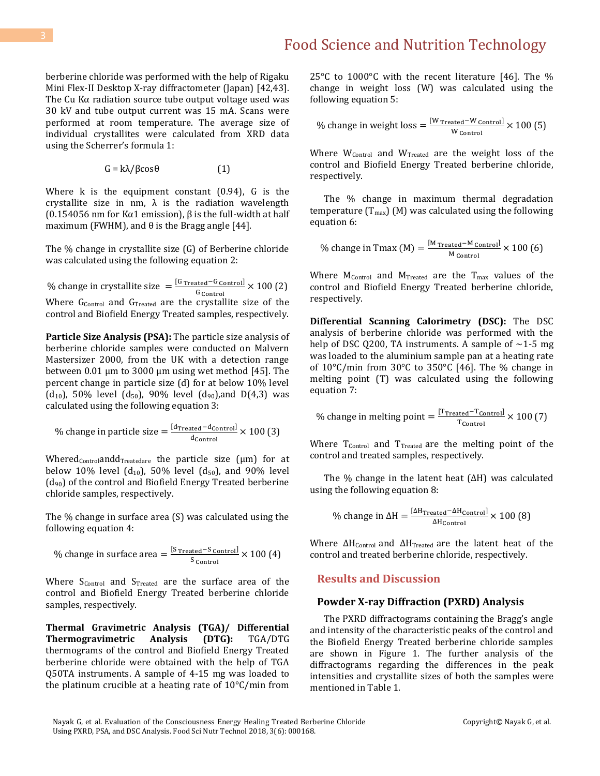berberine chloride was performed with the help of Rigaku Mini Flex-II Desktop X-ray diffractometer (Japan) [42,43]. The Cu Kα radiation source tube output voltage used was 30 kV and tube output current was 15 mA. Scans were performed at room temperature. The average size of individual crystallites were calculated from XRD data using the Scherrer's formula 1:

 $G = k\lambda/\beta \cos\theta$  (1)

Where  $k$  is the equipment constant  $(0.94)$ ,  $G$  is the crystallite size in nm,  $\lambda$  is the radiation wavelength (0.154056 nm for Kα1 emission), β is the full-width at half maximum (FWHM), and  $\theta$  is the Bragg angle [44].

The % change in crystallite size (G) of Berberine chloride was calculated using the following equation 2:

% change in crystallite size  $=$   $\frac{[G \text{ Treated} - G \text{ Control}]}{G}$  $\frac{\text{ated}^\text{-}\text{U Control}}{\text{G control}} \times 100~(2)$ Where G<sub>Control</sub> and G<sub>Treated</sub> are the crystallite size of the control and Biofield Energy Treated samples, respectively.

**Particle Size Analysis (PSA):** The particle size analysis of berberine chloride samples were conducted on Malvern Mastersizer 2000, from the UK with a detection range between 0.01 µm to 3000 µm using wet method [45]. The percent change in particle size (d) for at below 10% level  $(d_{10})$ , 50% level  $(d_{50})$ , 90% level  $(d_{90})$ , and D(4,3) was calculated using the following equation 3:

% change in particle size = 
$$
\frac{[d_{\text{Treated}} - d_{\text{Control}}]}{d_{\text{Control}}} \times 100 \text{ (3)}
$$

Whered<sub>Control</sub>andd<sub>Treatedare</sub> the particle size  $(\mu m)$  for at below 10% level  $(d_{10})$ , 50% level  $(d_{50})$ , and 90% level  $(d_{90})$  of the control and Biofield Energy Treated berberine chloride samples, respectively.

The % change in surface area (S) was calculated using the following equation 4:

% change in surface area = 
$$
\frac{\text{[S \text{Treated} - S \text{ Control}]} }{\text{S \text{ Control}}} \times 100 \text{ (4)}
$$

Where  $S_{Control}$  and  $S_{Treated}$  are the surface area of the control and Biofield Energy Treated berberine chloride samples, respectively.

**Thermal Gravimetric Analysis (TGA)/ Differential Thermogravimetric Analysis (DTG):** TGA/DTG thermograms of the control and Biofield Energy Treated berberine chloride were obtained with the help of TGA Q50TA instruments. A sample of 4-15 mg was loaded to the platinum crucible at a heating rate of 10°C/min from 25°C to 1000°C with the recent literature [46]. The % change in weight loss (W) was calculated using the following equation 5:

% change in weight loss = 
$$
\frac{\text{[W \, \text{Treated} - W \, \text{Control}]}{\text{W \, \text{Control}}} \times 100 \, (5)
$$

Where  $W_{Control}$  and  $W_{Treated}$  are the weight loss of the control and Biofield Energy Treated berberine chloride, respectively.

The % change in maximum thermal degradation temperature ( $T_{\text{max}}$ ) (M) was calculated using the following equation 6:

% change in Tmax (M) = 
$$
\frac{\text{[M} \text{Treated} - \text{M} \text{Control}]}{\text{M} \text{Control}} \times 100 \text{ (6)}
$$

Where  $M_{Control}$  and  $M_{Treated}$  are the  $T_{max}$  values of the control and Biofield Energy Treated berberine chloride, respectively.

**Differential Scanning Calorimetry (DSC):** The DSC analysis of berberine chloride was performed with the help of DSC Q200, TA instruments. A sample of  $\sim$ 1-5 mg was loaded to the aluminium sample pan at a heating rate of 10°C/min from 30°C to 350°C [46]. The % change in melting point (T) was calculated using the following equation 7:

% change in melting point = 
$$
\frac{[{\rm Tr}_\text{reated} - {\rm T}_{\rm Control}]}{\rm T}_{\rm Control} \times 100 \text{ (7)}
$$

Where  $T_{Control}$  and  $T_{Treated}$  are the melting point of the control and treated samples, respectively.

The % change in the latent heat (ΔH) was calculated using the following equation 8:

% change in 
$$
\Delta H = \frac{[\Delta H_{\text{Treated}} - \Delta H_{\text{Control}}]}{\Delta H_{\text{Control}}}
$$
 × 100 (8)

Where  $\Delta H_{\text{Control}}$  and  $\Delta H_{\text{Treated}}$  are the latent heat of the control and treated berberine chloride, respectively.

### **Results and Discussion**

#### **Powder X-ray Diffraction (PXRD) Analysis**

The PXRD diffractograms containing the Bragg's angle and intensity of the characteristic peaks of the control and the Biofield Energy Treated berberine chloride samples are shown in Figure 1. The further analysis of the diffractograms regarding the differences in the peak intensities and crystallite sizes of both the samples were mentioned in Table 1.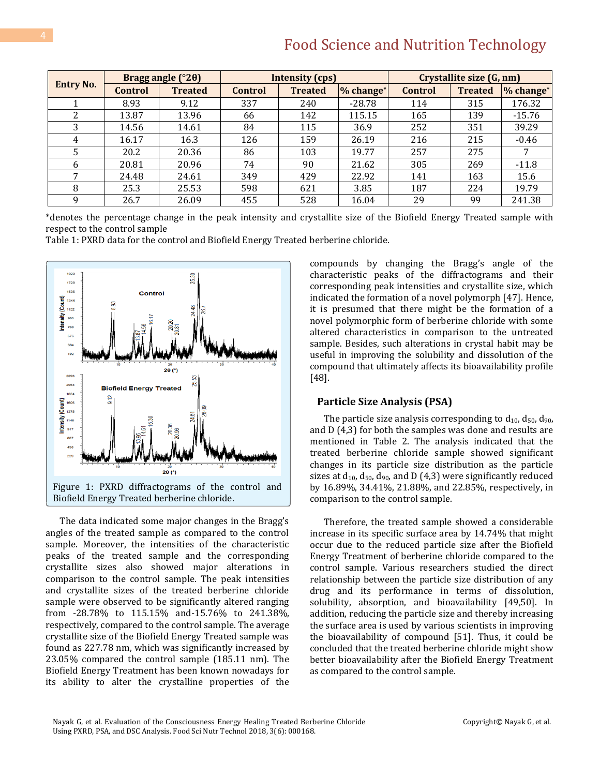| <b>Entry No.</b> | Bragg angle (°20) |                | <b>Intensity (cps)</b> |                |           | Crystallite size (G, nm) |                |           |
|------------------|-------------------|----------------|------------------------|----------------|-----------|--------------------------|----------------|-----------|
|                  | Control           | <b>Treated</b> | <b>Control</b>         | <b>Treated</b> | % change* | Control                  | <b>Treated</b> | % change* |
|                  | 8.93              | 9.12           | 337                    | 240            | $-28.78$  | 114                      | 315            | 176.32    |
| 2                | 13.87             | 13.96          | 66                     | 142            | 115.15    | 165                      | 139            | $-15.76$  |
| 3                | 14.56             | 14.61          | 84                     | 115            | 36.9      | 252                      | 351            | 39.29     |
| 4                | 16.17             | 16.3           | 126                    | 159            | 26.19     | 216                      | 215            | $-0.46$   |
| 5                | 20.2              | 20.36          | 86                     | 103            | 19.77     | 257                      | 275            |           |
| 6                | 20.81             | 20.96          | 74                     | 90             | 21.62     | 305                      | 269            | $-11.8$   |
| 7                | 24.48             | 24.61          | 349                    | 429            | 22.92     | 141                      | 163            | 15.6      |
| 8                | 25.3              | 25.53          | 598                    | 621            | 3.85      | 187                      | 224            | 19.79     |
| q                | 26.7              | 26.09          | 455                    | 528            | 16.04     | 29                       | 99             | 241.38    |

\*denotes the percentage change in the peak intensity and crystallite size of the Biofield Energy Treated sample with respect to the control sample

Table 1: PXRD data for the control and Biofield Energy Treated berberine chloride.



The data indicated some major changes in the Bragg's angles of the treated sample as compared to the control sample. Moreover, the intensities of the characteristic peaks of the treated sample and the corresponding crystallite sizes also showed major alterations in comparison to the control sample. The peak intensities and crystallite sizes of the treated berberine chloride sample were observed to be significantly altered ranging from -28.78% to 115.15% and-15.76% to 241.38%, respectively, compared to the control sample. The average crystallite size of the Biofield Energy Treated sample was found as 227.78 nm, which was significantly increased by 23.05% compared the control sample (185.11 nm). The Biofield Energy Treatment has been known nowadays for its ability to alter the crystalline properties of the compounds by changing the Bragg's angle of the characteristic peaks of the diffractograms and their corresponding peak intensities and crystallite size, which indicated the formation of a novel polymorph [47]. Hence, it is presumed that there might be the formation of a novel polymorphic form of berberine chloride with some altered characteristics in comparison to the untreated sample. Besides, such alterations in crystal habit may be useful in improving the solubility and dissolution of the compound that ultimately affects its bioavailability profile [48].

#### **Particle Size Analysis (PSA)**

The particle size analysis corresponding to  $d_{10}$ ,  $d_{50}$ ,  $d_{90}$ , and D (4,3) for both the samples was done and results are mentioned in Table 2. The analysis indicated that the treated berberine chloride sample showed significant changes in its particle size distribution as the particle sizes at  $d_{10}$ ,  $d_{50}$ ,  $d_{90}$ , and D (4,3) were significantly reduced by 16.89%, 34.41%, 21.88%, and 22.85%, respectively, in comparison to the control sample.

Therefore, the treated sample showed a considerable increase in its specific surface area by 14.74% that might occur due to the reduced particle size after the Biofield Energy Treatment of berberine chloride compared to the control sample. Various researchers studied the direct relationship between the particle size distribution of any drug and its performance in terms of dissolution, solubility, absorption, and bioavailability [49,50]. In addition, reducing the particle size and thereby increasing the surface area is used by various scientists in improving the bioavailability of compound [51]. Thus, it could be concluded that the treated berberine chloride might show better bioavailability after the Biofield Energy Treatment as compared to the control sample.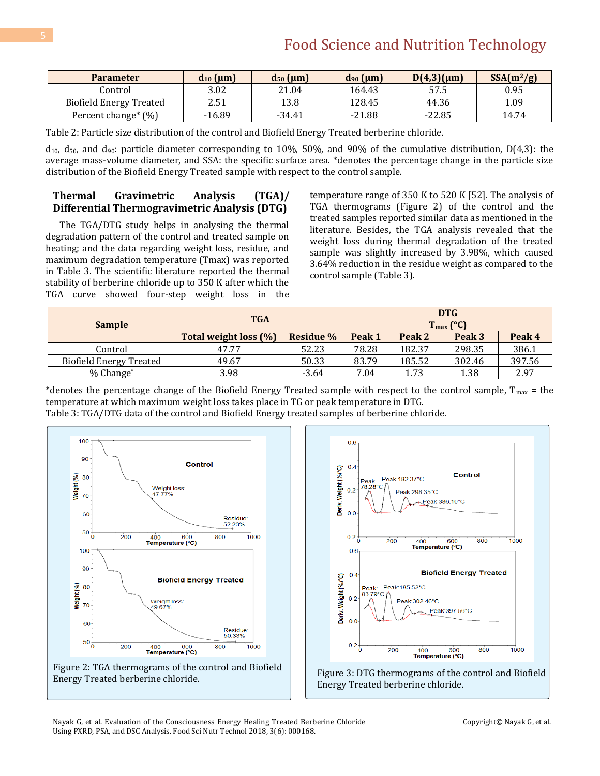| <b>Parameter</b>               | $d_{10}$ (µm) | $d_{50}$ ( $\mu$ m) | $d_{90}$ ( $\mu$ m) | $D(4,3)(\mu m)$ | $SSA(m^2/g)$ |
|--------------------------------|---------------|---------------------|---------------------|-----------------|--------------|
| Control                        | 3.02          | 21.04               | 164.43              | 57.5            | 0.95         |
| <b>Biofield Energy Treated</b> | 2.51          | 13.8                | 128.45              | 44.36           | 1.09         |
| Percent change* (%)            | $-16.89$      | -34.41              | $-21.88$            | $-22.85$        | 14.74        |

Table 2: Particle size distribution of the control and Biofield Energy Treated berberine chloride.

 $d_{10}$ ,  $d_{50}$ , and  $d_{90}$ : particle diameter corresponding to 10%, 50%, and 90% of the cumulative distribution, D(4,3): the average mass-volume diameter, and SSA: the specific surface area. \*denotes the percentage change in the particle size distribution of the Biofield Energy Treated sample with respect to the control sample.

### **Thermal Gravimetric Analysis (TGA)/ Differential Thermogravimetric Analysis (DTG)**

The TGA/DTG study helps in analysing the thermal degradation pattern of the control and treated sample on heating; and the data regarding weight loss, residue, and maximum degradation temperature (Tmax) was reported in Table 3. The scientific literature reported the thermal stability of berberine chloride up to 350 K after which the TGA curve showed four-step weight loss in the temperature range of 350 K to 520 K [52]. The analysis of TGA thermograms (Figure 2) of the control and the treated samples reported similar data as mentioned in the literature. Besides, the TGA analysis revealed that the weight loss during thermal degradation of the treated sample was slightly increased by 3.98%, which caused 3.64% reduction in the residue weight as compared to the control sample (Table 3).

|                                | <b>TGA</b>            | DTG              |                       |        |        |        |
|--------------------------------|-----------------------|------------------|-----------------------|--------|--------|--------|
| <b>Sample</b>                  |                       |                  | $T_{\text{max}}$ (°C) |        |        |        |
|                                | Total weight loss (%) | <b>Residue</b> % | Peak 1                | Peak 2 | Peak 3 | Peak 4 |
| Control                        | 47.77                 | 52.23            | 78.28                 | 182.37 | 298.35 | 386.1  |
| <b>Biofield Energy Treated</b> | 49.67                 | 50.33            | 83.79                 | 185.52 | 302.46 | 397.56 |
| $%$ Change $*$                 | 3.98                  | $-3.64$          | 7.04                  | 1.73   | 1.38   | 2.97   |

\*denotes the percentage change of the Biofield Energy Treated sample with respect to the control sample,  $T_{max}$  = the temperature at which maximum weight loss takes place in TG or peak temperature in DTG.

Table 3: TGA/DTG data of the control and Biofield Energy treated samples of berberine chloride.





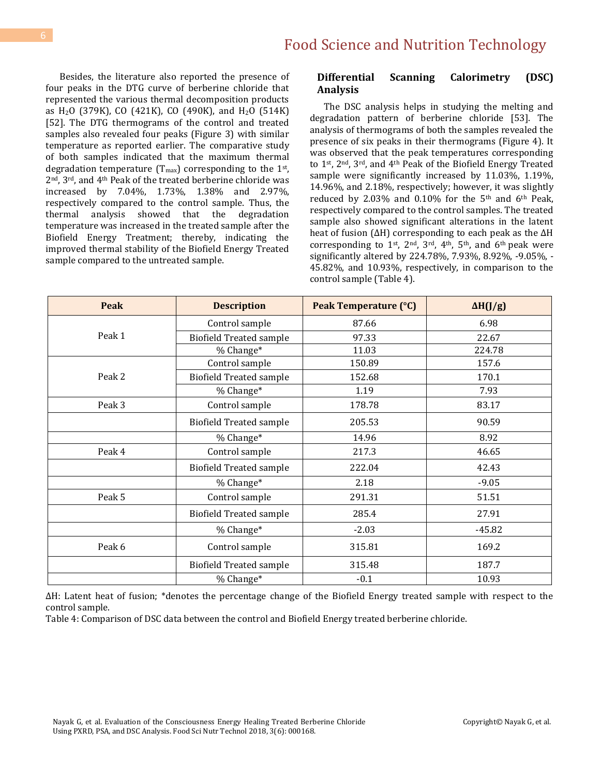Besides, the literature also reported the presence of four peaks in the DTG curve of berberine chloride that represented the various thermal decomposition products as  $H_2O$  (379K), CO (421K), CO (490K), and  $H_2O$  (514K) [52]. The DTG thermograms of the control and treated samples also revealed four peaks (Figure 3) with similar temperature as reported earlier. The comparative study of both samples indicated that the maximum thermal degradation temperature ( $T_{\text{max}}$ ) corresponding to the 1<sup>st</sup>, 2nd, 3rd, and 4th Peak of the treated berberine chloride was increased by 7.04%, 1.73%, 1.38% and 2.97%, respectively compared to the control sample. Thus, the thermal analysis showed that the degradation temperature was increased in the treated sample after the Biofield Energy Treatment; thereby, indicating the improved thermal stability of the Biofield Energy Treated sample compared to the untreated sample.

### **Differential Scanning Calorimetry (DSC) Analysis**

The DSC analysis helps in studying the melting and degradation pattern of berberine chloride [53]. The analysis of thermograms of both the samples revealed the presence of six peaks in their thermograms (Figure 4). It was observed that the peak temperatures corresponding to 1st, 2nd, 3rd, and 4th Peak of the Biofield Energy Treated sample were significantly increased by 11.03%, 1.19%, 14.96%, and 2.18%, respectively; however, it was slightly reduced by 2.03% and 0.10% for the 5th and 6th Peak, respectively compared to the control samples. The treated sample also showed significant alterations in the latent heat of fusion (ΔH) corresponding to each peak as the ΔH corresponding to  $1^{st}$ ,  $2^{nd}$ ,  $3^{rd}$ ,  $4^{th}$ ,  $5^{th}$ , and  $6^{th}$  peak were significantly altered by 224.78%, 7.93%, 8.92%, -9.05%, - 45.82%, and 10.93%, respectively, in comparison to the control sample (Table 4).

| Peak   | <b>Description</b>                       | Peak Temperature (°C) | $\Delta H(J/g)$ |  |
|--------|------------------------------------------|-----------------------|-----------------|--|
|        | Control sample                           | 87.66                 | 6.98            |  |
| Peak 1 | <b>Biofield Treated sample</b>           | 97.33                 | 22.67           |  |
|        | % Change*                                | 11.03                 | 224.78          |  |
|        | Control sample                           | 150.89                | 157.6           |  |
| Peak 2 | <b>Biofield Treated sample</b><br>152.68 |                       | 170.1           |  |
|        | % Change*                                | 1.19                  | 7.93            |  |
| Peak 3 | Control sample                           | 178.78                | 83.17           |  |
|        | <b>Biofield Treated sample</b>           | 205.53                | 90.59           |  |
|        | % Change*                                | 14.96                 | 8.92            |  |
| Peak 4 | Control sample                           | 217.3                 | 46.65           |  |
|        | <b>Biofield Treated sample</b>           | 222.04                | 42.43           |  |
|        | % Change*                                | 2.18                  | $-9.05$         |  |
| Peak 5 | Control sample                           | 291.31                | 51.51           |  |
|        | <b>Biofield Treated sample</b>           | 285.4                 | 27.91           |  |
|        | % Change*                                | $-2.03$               | $-45.82$        |  |
| Peak 6 | Control sample                           | 315.81                | 169.2           |  |
|        | <b>Biofield Treated sample</b>           | 315.48                | 187.7           |  |
|        | % Change*                                | $-0.1$                | 10.93           |  |

ΔH: Latent heat of fusion; \*denotes the percentage change of the Biofield Energy treated sample with respect to the control sample.

Table 4: Comparison of DSC data between the control and Biofield Energy treated berberine chloride.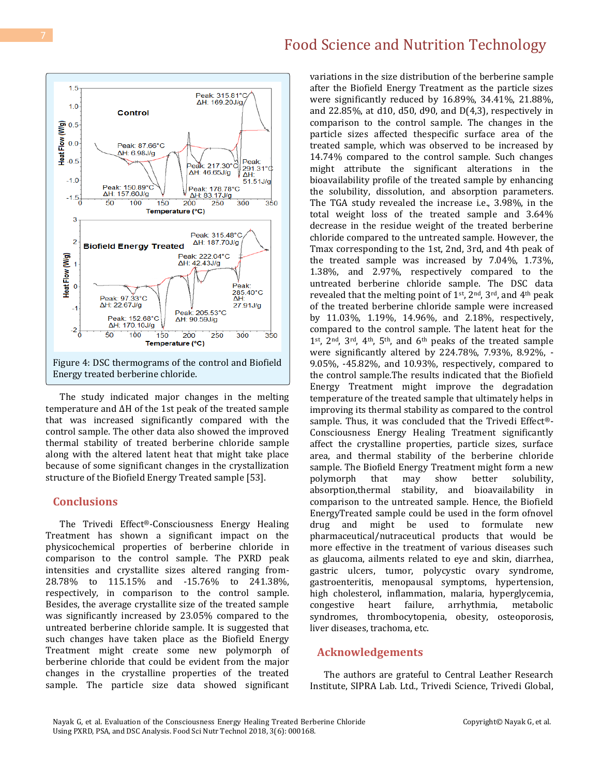

The study indicated major changes in the melting temperature and ΔH of the 1st peak of the treated sample that was increased significantly compared with the control sample. The other data also showed the improved thermal stability of treated berberine chloride sample along with the altered latent heat that might take place because of some significant changes in the crystallization structure of the Biofield Energy Treated sample [53].

### **Conclusions**

The Trivedi Effect®-Consciousness Energy Healing Treatment has shown a significant impact on the physicochemical properties of berberine chloride in comparison to the control sample. The PXRD peak intensities and crystallite sizes altered ranging from-28.78% to 115.15% and -15.76% to 241.38%, respectively, in comparison to the control sample. Besides, the average crystallite size of the treated sample was significantly increased by 23.05% compared to the untreated berberine chloride sample. It is suggested that such changes have taken place as the Biofield Energy Treatment might create some new polymorph of berberine chloride that could be evident from the major changes in the crystalline properties of the treated sample. The particle size data showed significant variations in the size distribution of the berberine sample after the Biofield Energy Treatment as the particle sizes were significantly reduced by 16.89%, 34.41%, 21.88%, and 22.85%, at d10, d50, d90, and D(4,3), respectively in comparison to the control sample. The changes in the particle sizes affected thespecific surface area of the treated sample, which was observed to be increased by 14.74% compared to the control sample. Such changes might attribute the significant alterations in the bioavailability profile of the treated sample by enhancing the solubility, dissolution, and absorption parameters. The TGA study revealed the increase i.e., 3.98%, in the total weight loss of the treated sample and 3.64% decrease in the residue weight of the treated berberine chloride compared to the untreated sample. However, the Tmax corresponding to the 1st, 2nd, 3rd, and 4th peak of the treated sample was increased by 7.04%, 1.73%, 1.38%, and 2.97%, respectively compared to the untreated berberine chloride sample. The DSC data revealed that the melting point of 1<sup>st</sup>, 2<sup>nd</sup>, 3<sup>rd</sup>, and 4<sup>th</sup> peak of the treated berberine chloride sample were increased by 11.03%, 1.19%, 14.96%, and 2.18%, respectively, compared to the control sample. The latent heat for the 1st, 2nd, 3rd, 4th, 5th, and 6th peaks of the treated sample were significantly altered by 224.78%, 7.93%, 8.92%, - 9.05%, -45.82%, and 10.93%, respectively, compared to the control sample.The results indicated that the Biofield Energy Treatment might improve the degradation temperature of the treated sample that ultimately helps in improving its thermal stability as compared to the control sample. Thus, it was concluded that the Trivedi Effect®- Consciousness Energy Healing Treatment significantly affect the crystalline properties, particle sizes, surface area, and thermal stability of the berberine chloride sample. The Biofield Energy Treatment might form a new polymorph that may show better solubility, absorption,thermal stability, and bioavailability in comparison to the untreated sample. Hence, the Biofield EnergyTreated sample could be used in the form ofnovel drug and might be used to formulate new pharmaceutical/nutraceutical products that would be more effective in the treatment of various diseases such as glaucoma, ailments related to eye and skin, diarrhea, gastric ulcers, tumor, polycystic ovary syndrome, gastroenteritis, menopausal symptoms, hypertension, high cholesterol, inflammation, malaria, hyperglycemia, congestive heart failure, arrhythmia, metabolic syndromes, thrombocytopenia, obesity, osteoporosis, liver diseases, trachoma, etc.

### **Acknowledgements**

The authors are grateful to Central Leather Research Institute, SIPRA Lab. Ltd., Trivedi Science, Trivedi Global,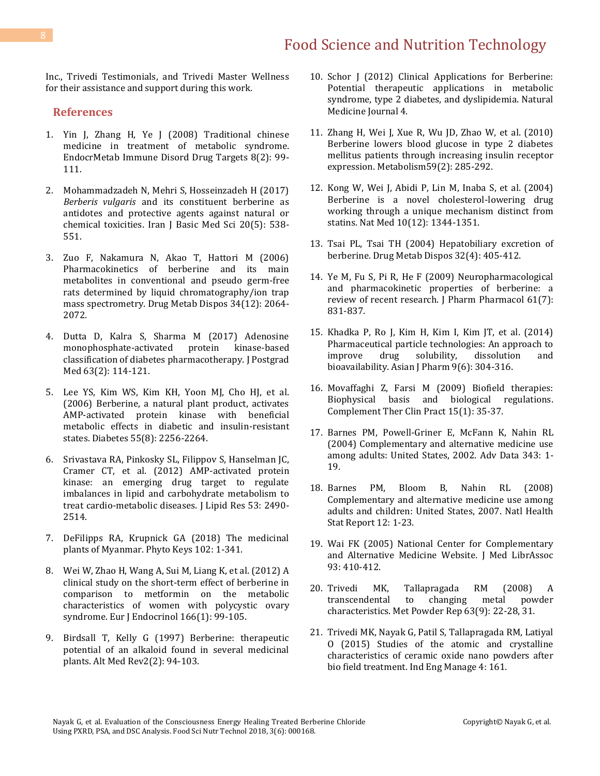Inc., Trivedi Testimonials, and Trivedi Master Wellness for their assistance and support during this work.

### **References**

- 1. [Yin J, Zhang H, Ye J \(2008\) Traditional chinese](https://www.ncbi.nlm.nih.gov/pubmed/18537696)  [medicine in treatment of metabolic syndrome.](https://www.ncbi.nlm.nih.gov/pubmed/18537696)  [EndocrMetab Immune Disord Drug Targets 8\(2\): 99-](https://www.ncbi.nlm.nih.gov/pubmed/18537696) [111.](https://www.ncbi.nlm.nih.gov/pubmed/18537696)
- 2. [Mohammadzadeh N, Mehri S, Hosseinzadeh H \(2017\)](https://www.ncbi.nlm.nih.gov/pubmed/28656089)  *Berberis vulgaris* [and its constituent berberine as](https://www.ncbi.nlm.nih.gov/pubmed/28656089)  [antidotes and protective agents against natural or](https://www.ncbi.nlm.nih.gov/pubmed/28656089)  [chemical toxicities. Iran J Basic Med Sci 20\(5\): 538-](https://www.ncbi.nlm.nih.gov/pubmed/28656089) [551.](https://www.ncbi.nlm.nih.gov/pubmed/28656089)
- 3. [Zuo F, Nakamura N, Akao T, Hattori M \(2006\)](https://www.ncbi.nlm.nih.gov/pubmed/16956957)  [Pharmacokinetics of berberine and its main](https://www.ncbi.nlm.nih.gov/pubmed/16956957)  [metabolites in conventional and pseudo germ-free](https://www.ncbi.nlm.nih.gov/pubmed/16956957)  [rats determined by liquid chromatography/ion trap](https://www.ncbi.nlm.nih.gov/pubmed/16956957)  [mass spectrometry. Drug Metab Dispos 34\(12\): 2064-](https://www.ncbi.nlm.nih.gov/pubmed/16956957) [2072.](https://www.ncbi.nlm.nih.gov/pubmed/16956957)
- 4. [Dutta D, Kalra S, Sharma M \(2017\) Adenosine](https://www.ncbi.nlm.nih.gov/pubmed/27652986)  [monophosphate-activated protein kinase-based](https://www.ncbi.nlm.nih.gov/pubmed/27652986)  [classification of diabetes pharmacotherapy. J Postgrad](https://www.ncbi.nlm.nih.gov/pubmed/27652986)  [Med 63\(2\): 114-121.](https://www.ncbi.nlm.nih.gov/pubmed/27652986)
- 5. [Lee YS, Kim WS, Kim KH, Yoon MJ, Cho HJ, et al.](https://www.ncbi.nlm.nih.gov/pubmed/16873688)  [\(2006\) Berberine, a natural plant product, activates](https://www.ncbi.nlm.nih.gov/pubmed/16873688)  [AMP-activated protein kinase with beneficial](https://www.ncbi.nlm.nih.gov/pubmed/16873688)  [metabolic effects in diabetic and insulin-resistant](https://www.ncbi.nlm.nih.gov/pubmed/16873688) [states. Diabetes 55\(8\): 2256-2264.](https://www.ncbi.nlm.nih.gov/pubmed/16873688)
- 6. [Srivastava RA, Pinkosky SL, Filippov S, Hanselman JC,](https://www.ncbi.nlm.nih.gov/pubmed/22798688)  [Cramer CT, et al. \(2012\) AMP-activated protein](https://www.ncbi.nlm.nih.gov/pubmed/22798688)  [kinase: an emerging drug target to regulate](https://www.ncbi.nlm.nih.gov/pubmed/22798688)  [imbalances in lipid and carbohydrate metabolism to](https://www.ncbi.nlm.nih.gov/pubmed/22798688)  [treat cardio-metabolic diseases. J Lipid Res 53: 2490-](https://www.ncbi.nlm.nih.gov/pubmed/22798688) [2514.](https://www.ncbi.nlm.nih.gov/pubmed/22798688)
- 7. [DeFilipps RA, Krupnick GA \(2018\) The medicinal](https://www.ncbi.nlm.nih.gov/pmc/articles/PMC6033956/)  [plants of Myanmar. Phyto Keys 102: 1-341.](https://www.ncbi.nlm.nih.gov/pmc/articles/PMC6033956/)
- 8. [Wei W, Zhao H, Wang A, Sui M, Liang K, et al. \(2012\) A](https://www.ncbi.nlm.nih.gov/pubmed/22019891)  [clinical study on the short-term effect of berberine in](https://www.ncbi.nlm.nih.gov/pubmed/22019891)  [comparison to metformin on the metabolic](https://www.ncbi.nlm.nih.gov/pubmed/22019891)  [characteristics of women with polycystic ovary](https://www.ncbi.nlm.nih.gov/pubmed/22019891)  [syndrome. Eur J Endocrinol 166\(1\): 99-105.](https://www.ncbi.nlm.nih.gov/pubmed/22019891)
- 9. [Birdsall T, Kelly G \(1997\) Berberine: therapeutic](https://eurekamag.com/research/003/051/003051589.php)  [potential of an alkaloid found in several medicinal](https://eurekamag.com/research/003/051/003051589.php)  [plants. Alt Med Rev2\(2\): 94-103.](https://eurekamag.com/research/003/051/003051589.php)
- 10. Schor J (2012) Clinical Applications for Berberine: Potential therapeutic applications in metabolic syndrome, type 2 diabetes, and dyslipidemia. Natural Medicine Journal 4.
- 11. [Zhang H, Wei J, Xue R, Wu JD, Zhao W, et al. \(2010\)](https://www.ncbi.nlm.nih.gov/pubmed/19800084)  [Berberine lowers blood glucose in type 2 diabetes](https://www.ncbi.nlm.nih.gov/pubmed/19800084)  [mellitus patients through increasing insulin receptor](https://www.ncbi.nlm.nih.gov/pubmed/19800084)  [expression. Metabolism59\(2\): 285-292.](https://www.ncbi.nlm.nih.gov/pubmed/19800084)
- 12. [Kong W, Wei J, Abidi P, Lin M, Inaba S, et al. \(2004\)](https://www.ncbi.nlm.nih.gov/pubmed/15531889)  [Berberine is a novel cholesterol-lowering drug](https://www.ncbi.nlm.nih.gov/pubmed/15531889)  [working through a unique mechanism distinct from](https://www.ncbi.nlm.nih.gov/pubmed/15531889)  [statins. Nat Med 10\(12\): 1344-1351.](https://www.ncbi.nlm.nih.gov/pubmed/15531889)
- 13. [Tsai PL, Tsai TH \(2004\) Hepatobiliary](https://www.ncbi.nlm.nih.gov/pubmed/15039293) excretion of [berberine. Drug Metab Dispos 32\(4\): 405-412.](https://www.ncbi.nlm.nih.gov/pubmed/15039293)
- 14. [Ye M, Fu S, Pi R, He F \(2009\) Neuropharmacological](https://www.ncbi.nlm.nih.gov/pubmed/19589224)  [and pharmacokinetic properties of berberine: a](https://www.ncbi.nlm.nih.gov/pubmed/19589224)  [review of recent research. J Pharm Pharmacol 61\(7\):](https://www.ncbi.nlm.nih.gov/pubmed/19589224)  [831-837.](https://www.ncbi.nlm.nih.gov/pubmed/19589224)
- 15. [Khadka P, Ro J, Kim H, Kim I, Kim JT, et al. \(2014\)](https://www.sciencedirect.com/science/article/pii/S1818087614000348%5d/)  [Pharmaceutical particle technologies: An approach to](https://www.sciencedirect.com/science/article/pii/S1818087614000348%5d/)  [improve drug solubility, dissolution and](https://www.sciencedirect.com/science/article/pii/S1818087614000348%5d/) [bioavailability. Asian J Pharm 9\(6\): 304-316.](https://www.sciencedirect.com/science/article/pii/S1818087614000348%5d/)
- 16. [Movaffaghi Z, Farsi M \(2009\) Biofield therapies:](https://www.ncbi.nlm.nih.gov/pubmed/19161953)  [Biophysical basis and biological regulations.](https://www.ncbi.nlm.nih.gov/pubmed/19161953)  [Complement Ther Clin Pract 15\(1\): 35-37.](https://www.ncbi.nlm.nih.gov/pubmed/19161953)
- 17. [Barnes PM, Powell-Griner E, McFann K, Nahin RL](https://www.ncbi.nlm.nih.gov/pubmed/15188733)  [\(2004\) Complementary and alternative medicine use](https://www.ncbi.nlm.nih.gov/pubmed/15188733)  [among adults: United States, 2002. Adv Data 343: 1-](https://www.ncbi.nlm.nih.gov/pubmed/15188733) [19.](https://www.ncbi.nlm.nih.gov/pubmed/15188733)
- 18. [Barnes PM, Bloom B, Nahin RL \(2008\)](https://www.ncbi.nlm.nih.gov/pubmed/19361005)  [Complementary and alternative medicine use among](https://www.ncbi.nlm.nih.gov/pubmed/19361005)  [adults and children: United States, 2007. Natl Health](https://www.ncbi.nlm.nih.gov/pubmed/19361005)  [Stat Report 12: 1-23.](https://www.ncbi.nlm.nih.gov/pubmed/19361005)
- 19. Wai FK (2005) National Center for Complementary and Alternative Medicine Website. J Med LibrAssoc 93: 410-412.
- 20. [Trivedi MK, Tallapragada RM \(2008\) A](https://www.sciencedirect.com/science/article/abs/pii/S0026065708701450)  [transcendental to changing metal powder](https://www.sciencedirect.com/science/article/abs/pii/S0026065708701450)  [characteristics. Met Powder Rep 63\(9\): 22-28, 31.](https://www.sciencedirect.com/science/article/abs/pii/S0026065708701450)
- 21. [Trivedi MK, Nayak G, Patil S, Tallapragada RM, Latiyal](https://www.trivedieffect.com/the-science/publications/materials-science-publications/studies-of-the-atomic-and-crystalline-characteristics-of-ceramic-oxide-nano-powders-after-bio-field-treatment/)  [O \(2015\) Studies of the atomic and crystalline](https://www.trivedieffect.com/the-science/publications/materials-science-publications/studies-of-the-atomic-and-crystalline-characteristics-of-ceramic-oxide-nano-powders-after-bio-field-treatment/)  [characteristics of ceramic oxide nano powders after](https://www.trivedieffect.com/the-science/publications/materials-science-publications/studies-of-the-atomic-and-crystalline-characteristics-of-ceramic-oxide-nano-powders-after-bio-field-treatment/)  [bio field treatment. Ind Eng Manage 4: 161.](https://www.trivedieffect.com/the-science/publications/materials-science-publications/studies-of-the-atomic-and-crystalline-characteristics-of-ceramic-oxide-nano-powders-after-bio-field-treatment/)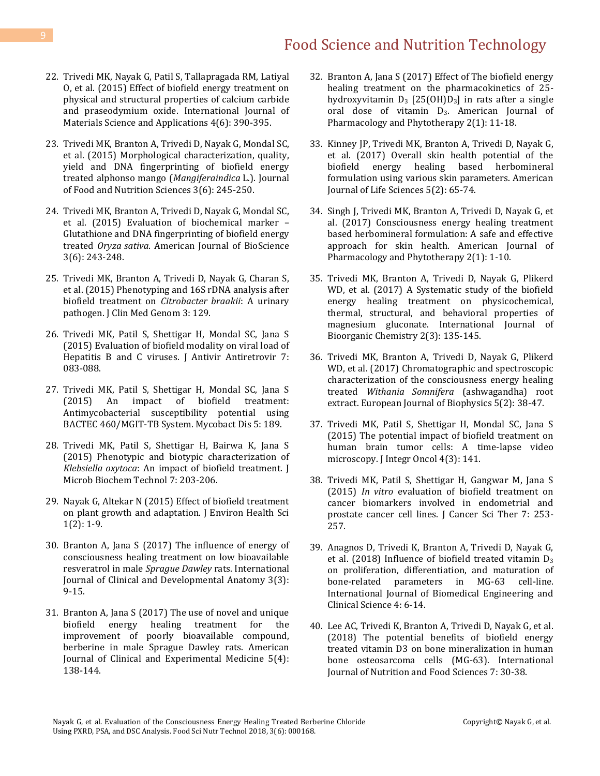- 22. Trivedi MK, Nayak G, [Patil S, Tallapragada RM, Latiyal](http://sciencepublishinggroup.com/journal/paperinfo?journalid=123&paperId=10011650)  [O, et al. \(2015\) Effect of biofield energy treatment on](http://sciencepublishinggroup.com/journal/paperinfo?journalid=123&paperId=10011650)  [physical and structural properties of calcium carbide](http://sciencepublishinggroup.com/journal/paperinfo?journalid=123&paperId=10011650)  [and praseodymium oxide. International Journal of](http://sciencepublishinggroup.com/journal/paperinfo?journalid=123&paperId=10011650)  [Materials Science and Applications 4\(6\): 390-395.](http://sciencepublishinggroup.com/journal/paperinfo?journalid=123&paperId=10011650)
- 23. [Trivedi MK, Branton A, Trivedi D, Nayak G, Mondal SC,](https://www.trivedieffect.com/the-science/publications/plant-genetics-publications/morphological-characterization-quality-yield-and-dna-fingerprinting-of-biofield-energy-treated-alphonso-mangomangifera-indica-l/)  [et al. \(2015\) Morphological characterization, quality,](https://www.trivedieffect.com/the-science/publications/plant-genetics-publications/morphological-characterization-quality-yield-and-dna-fingerprinting-of-biofield-energy-treated-alphonso-mangomangifera-indica-l/)  [yield and DNA fingerprinting of biofield energy](https://www.trivedieffect.com/the-science/publications/plant-genetics-publications/morphological-characterization-quality-yield-and-dna-fingerprinting-of-biofield-energy-treated-alphonso-mangomangifera-indica-l/)  [treated alphonso mango \(](https://www.trivedieffect.com/the-science/publications/plant-genetics-publications/morphological-characterization-quality-yield-and-dna-fingerprinting-of-biofield-energy-treated-alphonso-mangomangifera-indica-l/)*Mangiferaindica* L.). Journal [of Food and Nutrition Sciences 3\(6\): 245-250.](https://www.trivedieffect.com/the-science/publications/plant-genetics-publications/morphological-characterization-quality-yield-and-dna-fingerprinting-of-biofield-energy-treated-alphonso-mangomangifera-indica-l/)
- 24. [Trivedi MK, Branton A, Trivedi D, Nayak G, Mondal SC,](https://www.trivedieffect.com/the-science/publications/plant-genetics-publications/evaluation-of-biochemical-marker-glutathione-and-dna-fingerprinting-of-biofield-energy-treated-oryza-sativa/)  [et al. \(2015\) Evaluation of biochemical marker](https://www.trivedieffect.com/the-science/publications/plant-genetics-publications/evaluation-of-biochemical-marker-glutathione-and-dna-fingerprinting-of-biofield-energy-treated-oryza-sativa/) – [Glutathione and DNA fingerprinting of biofield energy](https://www.trivedieffect.com/the-science/publications/plant-genetics-publications/evaluation-of-biochemical-marker-glutathione-and-dna-fingerprinting-of-biofield-energy-treated-oryza-sativa/)  treated *Oryza sativa*[. American Journal of BioScience](https://www.trivedieffect.com/the-science/publications/plant-genetics-publications/evaluation-of-biochemical-marker-glutathione-and-dna-fingerprinting-of-biofield-energy-treated-oryza-sativa/)  [3\(6\): 243-248.](https://www.trivedieffect.com/the-science/publications/plant-genetics-publications/evaluation-of-biochemical-marker-glutathione-and-dna-fingerprinting-of-biofield-energy-treated-oryza-sativa/)
- 25. [Trivedi MK, Branton A, Trivedi D, Nayak G, Charan S,](https://www.trivedieffect.com/the-science/publications/microbial-genetics-publications/phenotyping-and-16s-rdna-analysis-after-biofield-treatment-on-citrobacter-braakii-a-urinary-pathogen/)  [et al. \(2015\) Phenotyping and 16S rDNA analysis after](https://www.trivedieffect.com/the-science/publications/microbial-genetics-publications/phenotyping-and-16s-rdna-analysis-after-biofield-treatment-on-citrobacter-braakii-a-urinary-pathogen/)  [biofield treatment on](https://www.trivedieffect.com/the-science/publications/microbial-genetics-publications/phenotyping-and-16s-rdna-analysis-after-biofield-treatment-on-citrobacter-braakii-a-urinary-pathogen/) *Citrobacter braakii*: A urinary pathogen. J [Clin Med Genom 3: 129.](https://www.trivedieffect.com/the-science/publications/microbial-genetics-publications/phenotyping-and-16s-rdna-analysis-after-biofield-treatment-on-citrobacter-braakii-a-urinary-pathogen/)
- 26. [Trivedi MK, Patil S, Shettigar H, Mondal SC, Jana S](https://www.trivedieffect.com/the-science/publications/microbiology-publications/evaluation-of-biofield-modality-on-viral-load-of-hepatitis-b-and-c-viruses/)  [\(2015\) Evaluation of biofield modality on viral load of](https://www.trivedieffect.com/the-science/publications/microbiology-publications/evaluation-of-biofield-modality-on-viral-load-of-hepatitis-b-and-c-viruses/)  [Hepatitis B and C viruses. J Antivir Antiretrovir 7:](https://www.trivedieffect.com/the-science/publications/microbiology-publications/evaluation-of-biofield-modality-on-viral-load-of-hepatitis-b-and-c-viruses/)  [083-088.](https://www.trivedieffect.com/the-science/publications/microbiology-publications/evaluation-of-biofield-modality-on-viral-load-of-hepatitis-b-and-c-viruses/)
- 27. [Trivedi MK, Patil S, Shettigar H, Mondal SC, Jana S](https://www.omicsonline.org/open-access/an-impact-of-biofield-treatment-antimycobacterial-susceptibility-potential-using-bactec-460mgittb-system-2161-1068-1000189.php?aid=59486)  [\(2015\) An impact of biofield treatment:](https://www.omicsonline.org/open-access/an-impact-of-biofield-treatment-antimycobacterial-susceptibility-potential-using-bactec-460mgittb-system-2161-1068-1000189.php?aid=59486)  [Antimycobacterial susceptibility potential using](https://www.omicsonline.org/open-access/an-impact-of-biofield-treatment-antimycobacterial-susceptibility-potential-using-bactec-460mgittb-system-2161-1068-1000189.php?aid=59486)  [BACTEC 460/MGIT-TB System. Mycobact Dis 5: 189.](https://www.omicsonline.org/open-access/an-impact-of-biofield-treatment-antimycobacterial-susceptibility-potential-using-bactec-460mgittb-system-2161-1068-1000189.php?aid=59486)
- 28. [Trivedi MK, Patil S, Shettigar H, Bairwa K, Jana S](https://www.omicsonline.org/open-access/phenotypic-and-biotypic-characterization-of-klebsiella-oxytoca-an-impact-of-biofield-treatment-1948-5948-1000205.php?aid=58964)  [\(2015\) Phenotypic and biotypic characterization of](https://www.omicsonline.org/open-access/phenotypic-and-biotypic-characterization-of-klebsiella-oxytoca-an-impact-of-biofield-treatment-1948-5948-1000205.php?aid=58964)  *Klebsiella oxytoca*[: An impact of biofield treatment. J](https://www.omicsonline.org/open-access/phenotypic-and-biotypic-characterization-of-klebsiella-oxytoca-an-impact-of-biofield-treatment-1948-5948-1000205.php?aid=58964)  [Microb Biochem Technol 7: 203-206.](https://www.omicsonline.org/open-access/phenotypic-and-biotypic-characterization-of-klebsiella-oxytoca-an-impact-of-biofield-treatment-1948-5948-1000205.php?aid=58964)
- 29. [Nayak G, Altekar N \(2015\) Effect of biofield treatment](https://www.trivedieffect.com/the-science/publications/biotechnology-publication/effect-of-a-biofield-treatment-on-plant-growth-and-adaptation/)  [on plant growth and adaptation. J Environ Health Sci](https://www.trivedieffect.com/the-science/publications/biotechnology-publication/effect-of-a-biofield-treatment-on-plant-growth-and-adaptation/)  [1\(2\): 1-9.](https://www.trivedieffect.com/the-science/publications/biotechnology-publication/effect-of-a-biofield-treatment-on-plant-growth-and-adaptation/)
- 30. [Branton A, Jana S \(2017\) The influence of energy of](http://www.sciencepublishinggroup.com/journal/paperinfo?journalid=361&doi=10.11648/j.ijcda.20170303.11)  [consciousness healing treatment on low bioavailable](http://www.sciencepublishinggroup.com/journal/paperinfo?journalid=361&doi=10.11648/j.ijcda.20170303.11)  [resveratrol in male](http://www.sciencepublishinggroup.com/journal/paperinfo?journalid=361&doi=10.11648/j.ijcda.20170303.11) *Sprague Dawley* rats. International [Journal of Clinical and Developmental Anatomy 3\(3\):](http://www.sciencepublishinggroup.com/journal/paperinfo?journalid=361&doi=10.11648/j.ijcda.20170303.11)  [9-15.](http://www.sciencepublishinggroup.com/journal/paperinfo?journalid=361&doi=10.11648/j.ijcda.20170303.11)
- 31. [Branton A, Jana S \(2017\) The use of novel and unique](http://www.sciencepublishinggroup.com/journal/paperinfo?journalid=254&doi=10.11648/j.ajcem.20170504.16)  [biofield energy healing treatment for the](http://www.sciencepublishinggroup.com/journal/paperinfo?journalid=254&doi=10.11648/j.ajcem.20170504.16)  [improvement of poorly bioavailable compound,](http://www.sciencepublishinggroup.com/journal/paperinfo?journalid=254&doi=10.11648/j.ajcem.20170504.16)  [berberine in male Sprague Dawley rats. American](http://www.sciencepublishinggroup.com/journal/paperinfo?journalid=254&doi=10.11648/j.ajcem.20170504.16)  [Journal of Clinical and Experimental Medicine 5\(4\):](http://www.sciencepublishinggroup.com/journal/paperinfo?journalid=254&doi=10.11648/j.ajcem.20170504.16)  [138-144.](http://www.sciencepublishinggroup.com/journal/paperinfo?journalid=254&doi=10.11648/j.ajcem.20170504.16)
- 32. [Branton A, Jana S \(2017\) Effect of The biofield energy](http://article.sciencepublishinggroup.com/pdf/10.11648.j.ajpp.20170201.12.pdf)  [healing treatment on the pharmacokinetics of 25](http://article.sciencepublishinggroup.com/pdf/10.11648.j.ajpp.20170201.12.pdf) hydroxyvitamin  $D_3$  [25(OH) $D_3$ ] in rats after a single oral dose of vitamin  $D_3$ . American Journal of [Pharmacology and Phytotherapy 2\(1\): 11-18.](http://article.sciencepublishinggroup.com/pdf/10.11648.j.ajpp.20170201.12.pdf)
- 33. [Kinney JP, Trivedi MK, Branton A, Trivedi D, Nayak G,](https://www.trivedieffect.com/the-science/biotech/publication/healers-science/skin-health/overall-skin-health-potential-of-the-biofield-energy-healing-based-herbomineral-formulation-using-various-skin-parameters/)  [et al. \(2017\) Overall skin health potential of the](https://www.trivedieffect.com/the-science/biotech/publication/healers-science/skin-health/overall-skin-health-potential-of-the-biofield-energy-healing-based-herbomineral-formulation-using-various-skin-parameters/)  [biofield energy healing based herbomineral](https://www.trivedieffect.com/the-science/biotech/publication/healers-science/skin-health/overall-skin-health-potential-of-the-biofield-energy-healing-based-herbomineral-formulation-using-various-skin-parameters/)  [formulation using various skin parameters. American](https://www.trivedieffect.com/the-science/biotech/publication/healers-science/skin-health/overall-skin-health-potential-of-the-biofield-energy-healing-based-herbomineral-formulation-using-various-skin-parameters/)  [Journal of Life Sciences 5\(2\): 65-74.](https://www.trivedieffect.com/the-science/biotech/publication/healers-science/skin-health/overall-skin-health-potential-of-the-biofield-energy-healing-based-herbomineral-formulation-using-various-skin-parameters/)
- 34. [Singh J, Trivedi MK, Branton A, Trivedi D, Nayak G, et](https://www.trivedieffect.com/the-science/biotech/publication/healers-science/skin-health/consciousness-energy-healing-treatment-based-herbomineral-formulation-a-safe-and-effective-approach-for-skin-health/)  [al. \(2017\) Consciousness energy healing treatment](https://www.trivedieffect.com/the-science/biotech/publication/healers-science/skin-health/consciousness-energy-healing-treatment-based-herbomineral-formulation-a-safe-and-effective-approach-for-skin-health/)  [based herbomineral formulation: A safe and effective](https://www.trivedieffect.com/the-science/biotech/publication/healers-science/skin-health/consciousness-energy-healing-treatment-based-herbomineral-formulation-a-safe-and-effective-approach-for-skin-health/)  [approach for skin health. American Journal of](https://www.trivedieffect.com/the-science/biotech/publication/healers-science/skin-health/consciousness-energy-healing-treatment-based-herbomineral-formulation-a-safe-and-effective-approach-for-skin-health/)  [Pharmacology and Phytotherapy 2\(1\): 1-10.](https://www.trivedieffect.com/the-science/biotech/publication/healers-science/skin-health/consciousness-energy-healing-treatment-based-herbomineral-formulation-a-safe-and-effective-approach-for-skin-health/)
- 35. [Trivedi MK, Branton A, Trivedi D, Nayak G, Plikerd](https://www.trivedieffect.com/the-science/biotech/publication/healers-science/nutraceuticals/a-systematic-study-of-the-biofield-energy-healing-treatment-on-physicochemical-thermal-structural-and-behavioral-properties-of-magnesium-gluconate/)  [WD, et al. \(2017\) A Systematic study of the biofield](https://www.trivedieffect.com/the-science/biotech/publication/healers-science/nutraceuticals/a-systematic-study-of-the-biofield-energy-healing-treatment-on-physicochemical-thermal-structural-and-behavioral-properties-of-magnesium-gluconate/)  [energy healing treatment on physicochemical,](https://www.trivedieffect.com/the-science/biotech/publication/healers-science/nutraceuticals/a-systematic-study-of-the-biofield-energy-healing-treatment-on-physicochemical-thermal-structural-and-behavioral-properties-of-magnesium-gluconate/)  [thermal, structural, and behavioral properties of](https://www.trivedieffect.com/the-science/biotech/publication/healers-science/nutraceuticals/a-systematic-study-of-the-biofield-energy-healing-treatment-on-physicochemical-thermal-structural-and-behavioral-properties-of-magnesium-gluconate/)  [magnesium gluconate. International Journal of](https://www.trivedieffect.com/the-science/biotech/publication/healers-science/nutraceuticals/a-systematic-study-of-the-biofield-energy-healing-treatment-on-physicochemical-thermal-structural-and-behavioral-properties-of-magnesium-gluconate/)  [Bioorganic Chemistry 2\(3\): 135-145.](https://www.trivedieffect.com/the-science/biotech/publication/healers-science/nutraceuticals/a-systematic-study-of-the-biofield-energy-healing-treatment-on-physicochemical-thermal-structural-and-behavioral-properties-of-magnesium-gluconate/)
- 36. [Trivedi MK, Branton A, Trivedi D, Nayak G, Plikerd](https://www.trivedieffect.com/the-science/biotech/publication/healers-science/nutraceuticals/chromatographic-and-spectroscopic-characterization-of-the-consciousness-energy-healing-treated-withania-somnifera-ashwagandha-root-extract/)  [WD, et al. \(2017\) Chromatographic and spectroscopic](https://www.trivedieffect.com/the-science/biotech/publication/healers-science/nutraceuticals/chromatographic-and-spectroscopic-characterization-of-the-consciousness-energy-healing-treated-withania-somnifera-ashwagandha-root-extract/)  [characterization of the consciousness energy healing](https://www.trivedieffect.com/the-science/biotech/publication/healers-science/nutraceuticals/chromatographic-and-spectroscopic-characterization-of-the-consciousness-energy-healing-treated-withania-somnifera-ashwagandha-root-extract/)  treated *Withania Somnifera* [\(ashwagandha\) root](https://www.trivedieffect.com/the-science/biotech/publication/healers-science/nutraceuticals/chromatographic-and-spectroscopic-characterization-of-the-consciousness-energy-healing-treated-withania-somnifera-ashwagandha-root-extract/)  [extract. European Journal of Biophysics 5\(2\): 38-47.](https://www.trivedieffect.com/the-science/biotech/publication/healers-science/nutraceuticals/chromatographic-and-spectroscopic-characterization-of-the-consciousness-energy-healing-treated-withania-somnifera-ashwagandha-root-extract/)
- 37. [Trivedi MK, Patil S, Shettigar H, Mondal SC, Jana S](https://hal.inria.fr/hal-01416895v1)  [\(2015\) The potential impact of biofield treatment on](https://hal.inria.fr/hal-01416895v1)  [human brain tumor cells: A time-lapse video](https://hal.inria.fr/hal-01416895v1)  [microscopy. J Integr Oncol 4\(3\): 141.](https://hal.inria.fr/hal-01416895v1)
- 38. [Trivedi MK, Patil S, Shettigar H, Gangwar M, Jana S](https://www.omicsonline.org/open-access/in-vitro-evaluation-of-biofield-treatment-on-cancer-biomarkers-involved-in-endometrial-and-prostate-cancer-cell-lines-1948-5956-1000358.php?aid=58658/)  (2015) *In vitro* [evaluation of biofield treatment on](https://www.omicsonline.org/open-access/in-vitro-evaluation-of-biofield-treatment-on-cancer-biomarkers-involved-in-endometrial-and-prostate-cancer-cell-lines-1948-5956-1000358.php?aid=58658/)  [cancer biomarkers involved in endometrial and](https://www.omicsonline.org/open-access/in-vitro-evaluation-of-biofield-treatment-on-cancer-biomarkers-involved-in-endometrial-and-prostate-cancer-cell-lines-1948-5956-1000358.php?aid=58658/)  [prostate cancer cell lines. J Cancer Sci Ther 7: 253-](https://www.omicsonline.org/open-access/in-vitro-evaluation-of-biofield-treatment-on-cancer-biomarkers-involved-in-endometrial-and-prostate-cancer-cell-lines-1948-5956-1000358.php?aid=58658/) [257.](https://www.omicsonline.org/open-access/in-vitro-evaluation-of-biofield-treatment-on-cancer-biomarkers-involved-in-endometrial-and-prostate-cancer-cell-lines-1948-5956-1000358.php?aid=58658/)
- 39. [Anagnos D, Trivedi K, Branton A, Trivedi D, Nayak G,](V)  et al. (2018) Influence of biofield treated vitamin  $D_3$ [on proliferation, differentiation, and maturation of](V)  [bone-related parameters in MG-63 cell-line.](V)  [International Journal of Biomedical Engineering and](V)  [Clinical Science 4: 6-14.](V)
- 40. [Lee AC, Trivedi K, Branton A, Trivedi D, Nayak G, et al.](https://www.trivedieffect.com/the-science/biotech/publication/healers-science/nutraceuticals/the-potential-benefits-of-biofield-energy-treated-vitamin-d3-on-bone-mineralization-in-human-bone-osteosarcoma-cells/)  [\(2018\) The potential benefits of biofield energy](https://www.trivedieffect.com/the-science/biotech/publication/healers-science/nutraceuticals/the-potential-benefits-of-biofield-energy-treated-vitamin-d3-on-bone-mineralization-in-human-bone-osteosarcoma-cells/)  treated vitamin D3 [on bone mineralization in human](https://www.trivedieffect.com/the-science/biotech/publication/healers-science/nutraceuticals/the-potential-benefits-of-biofield-energy-treated-vitamin-d3-on-bone-mineralization-in-human-bone-osteosarcoma-cells/)  [bone osteosarcoma cells \(MG-63\). International](https://www.trivedieffect.com/the-science/biotech/publication/healers-science/nutraceuticals/the-potential-benefits-of-biofield-energy-treated-vitamin-d3-on-bone-mineralization-in-human-bone-osteosarcoma-cells/)  [Journal of Nutrition and Food Sciences 7: 30-38.](https://www.trivedieffect.com/the-science/biotech/publication/healers-science/nutraceuticals/the-potential-benefits-of-biofield-energy-treated-vitamin-d3-on-bone-mineralization-in-human-bone-osteosarcoma-cells/)